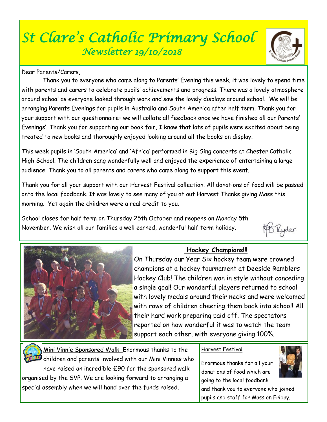# *St Clare's Catholic Primary School Newsletter 19/10/2018*



### Dear Parents/Carers,

 Thank you to everyone who came along to Parents' Evening this week, it was lovely to spend time with parents and carers to celebrate pupils' achievements and progress. There was a lovely atmosphere around school as everyone looked through work and saw the lovely displays around school. We will be arranging Parents Evenings for pupils in Australia and South America after half term. Thank you for your support with our questionnaire– we will collate all feedback once we have finished all our Parents' Evenings'. Thank you for supporting our book fair, I know that lots of pupils were excited about being treated to new books and thoroughly enjoyed looking around all the books on display.

This week pupils in 'South America' and 'Africa' performed in Big Sing concerts at Chester Catholic High School. The children sang wonderfully well and enjoyed the experience of entertaining a large audience. Thank you to all parents and carers who came along to support this event.

Thank you for all your support with our Harvest Festival collection. All donations of food will be passed onto the local foodbank. It was lovely to see many of you at out Harvest Thanks giving Mass this morning. Yet again the children were a real credit to you.

School closes for half term on Thursday 25th October and reopens on Monday 5th November. We wish all our families a well earned, wonderful half term holiday.





# **Hockey Champions!!!**

On Thursday our Year Six hockey team were crowned champions at a hockey tournament at Deeside Ramblers Hockey Club! The children won in style without conceding a single goal! Our wonderful players returned to school with lovely medals around their necks and were welcomed with rows of children cheering them back into school! All their hard work preparing paid off. The spectators reported on how wonderful it was to watch the team support each other, with everyone giving 100%.

Mini Vinnie Sponsored Walk Enormous thanks to the children and parents involved with our Mini Vinnies who have raised an incredible £90 for the sponsored walk organised by the SVP. We are looking forward to arranging a special assembly when we will hand over the funds raised.

#### Harvest Festival

Enormous thanks for all your donations of food which are going to the local foodbank



and thank you to everyone who joined pupils and staff for Mass on Friday.